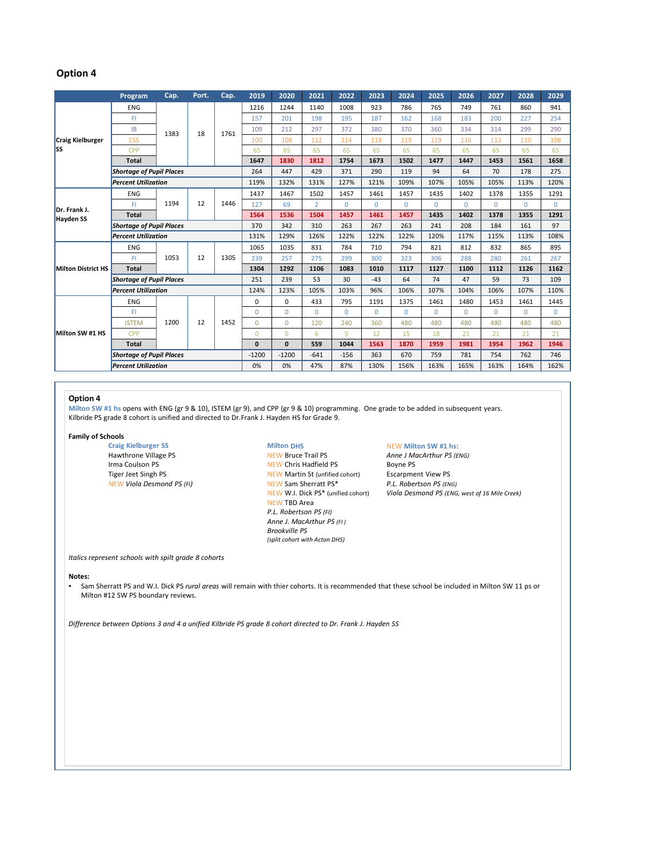## **Option 4**

|                                  | Program                         | Cap.       | Port. | Cap. | 2019         | 2020         | 2021           | 2022         | 2023     | 2024     | 2025     | 2026         | 2027     | 2028     | 2029     |
|----------------------------------|---------------------------------|------------|-------|------|--------------|--------------|----------------|--------------|----------|----------|----------|--------------|----------|----------|----------|
| <b>Craig Kielburger</b><br>lss   | <b>ENG</b>                      | 1383       | 18    | 1761 | 1216         | 1244         | 1140           | 1008         | 923      | 786      | 765      | 749          | 761      | 860      | 941      |
|                                  | FI                              |            |       |      | 157          | 201          | 198            | 195          | 187      | 162      | 168      | 183          | 200      | 227      | 254      |
|                                  | IB                              |            |       |      | 109          | 212          | 297            | 372          | 380      | 370      | 360      | 334          | 314      | 299      | 290      |
|                                  | <b>ESS</b>                      |            |       |      | 100          | 108          | 112            | 114          | 118      | 119      | 119      | 116          | 113      | 110      | 108      |
|                                  | CPP                             |            |       |      | 65           | 65           | 65             | 65           | 65       | 65       | 65       | 65           | 65       | 65       | 65       |
|                                  | <b>Total</b>                    |            |       |      | 1647         | 1830         | 1812           | 1754         | 1673     | 1502     | 1477     | 1447         | 1453     | 1561     | 1658     |
|                                  | <b>Shortage of Pupil Places</b> |            |       |      | 264          | 447          | 429            | 371          | 290      | 119      | 94       | 64           | 70       | 178      | 275      |
|                                  | <b>Percent Utilization</b>      |            |       |      | 119%         | 132%         | 131%           | 127%         | 121%     | 109%     | 107%     | 105%         | 105%     | 113%     | 120%     |
| Dr. Frank J.<br><b>Hayden SS</b> | <b>ENG</b>                      | 1194       | 12    | 1446 | 1437         | 1467         | 1502           | 1457         | 1461     | 1457     | 1435     | 1402         | 1378     | 1355     | 1291     |
|                                  | FI.                             |            |       |      | 127          | 69           | $\overline{2}$ | $\mathbf{0}$ | $\Omega$ | $\Omega$ | $\Omega$ | $\mathbf{0}$ | $\Omega$ | $\Omega$ | $\Omega$ |
|                                  | <b>Total</b>                    |            |       |      | 1564         | 1536         | 1504           | 1457         | 1461     | 1457     | 1435     | 1402         | 1378     | 1355     | 1291     |
|                                  | <b>Shortage of Pupil Places</b> |            |       |      | 370          | 342          | 310            | 263          | 267      | 263      | 241      | 208          | 184      | 161      | 97       |
|                                  | <b>Percent Utilization</b>      |            |       |      | 131%         | 129%         | 126%           | 122%         | 122%     | 122%     | 120%     | 117%         | 115%     | 113%     | 108%     |
| <b>Milton District HS</b>        | <b>ENG</b>                      | 1053       | 12    | 1305 | 1065         | 1035         | 831            | 784          | 710      | 794      | 821      | 812          | 832      | 865      | 895      |
|                                  | FL.                             |            |       |      | 239          | 257          | 275            | 299          | 300      | 323      | 306      | 288          | 280      | 261      | 267      |
|                                  | <b>Total</b>                    |            |       |      | 1304         | 1292         | 1106           | 1083         | 1010     | 1117     | 1127     | 1100         | 1112     | 1126     | 1162     |
|                                  | <b>Shortage of Pupil Places</b> |            |       |      | 251          | 239          | 53             | 30           | $-43$    | 64       | 74       | 47           | 59       | 73       | 109      |
|                                  | <b>Percent Utilization</b>      |            |       |      | 124%         | 123%         | 105%           | 103%         | 96%      | 106%     | 107%     | 104%         | 106%     | 107%     | 110%     |
| Milton SW #1 HS                  | <b>ENG</b>                      | 1200<br>12 |       | 1452 | 0            | $\Omega$     | 433            | 795          | 1191     | 1375     | 1461     | 1480         | 1453     | 1461     | 1445     |
|                                  | FI                              |            |       |      | $\Omega$     | $\Omega$     | $\Omega$       | $\mathbf{0}$ | $\Omega$ | $\Omega$ | $\Omega$ | $\Omega$     | $\Omega$ | 0        | $\Omega$ |
|                                  | <b>ISTEM</b>                    |            |       |      | $\Omega$     | $\Omega$     | 120            | 240          | 360      | 480      | 480      | 480          | 480      | 480      | 480      |
|                                  | <b>CPP</b>                      |            |       |      | $\mathbf{0}$ | $\mathbf{0}$ | 6              | 9            | 12       | 15       | 18       | 21           | 21       | 21       | 21       |
|                                  | <b>Total</b>                    |            |       |      | $\mathbf{0}$ | $\mathbf{0}$ | 559            | 1044         | 1563     | 1870     | 1959     | 1981         | 1954     | 1962     | 1946     |
|                                  | <b>Shortage of Pupil Places</b> |            |       |      | $-1200$      | $-1200$      | $-641$         | $-156$       | 363      | 670      | 759      | 781          | 754      | 762      | 746      |
|                                  | <b>Percent Utilization</b>      |            |       |      | 0%           | 0%           | 47%            | 87%          | 130%     | 156%     | 163%     | 165%         | 163%     | 164%     | 162%     |

## **Option 4**

**Milton SW #1 hs** opens with ENG (gr 9 & 10), ISTEM (gr 9), and CPP (gr 9 & 10) programming. One grade to be added in subsequent years. Kilbride PS grade 8 cohort is unified and directed to Dr.Frank J. Hayden HS for Grade 9.

# **Family of Schools**

**Craig** Kielburger SS **Milton DHS MEW Milton DHS MEW Milton SW** #1 hs:<br>
Hawthrone Village PS **STARE A** REW Bruce Trail PS **Anne J MacArthur PS** (E) Irma Coulson PS<br>
Internal Coulson PS<br>
Tiger Jeet Singh PS<br>
NEW Martin St (unfified cohort) Escarpment View PS Tight Martin St (unfified cohort) Escarpment View PS<br>
NEW Sam Sherratt PS\* P.L. Robertson PS (ENG) NEW *Viola Desmond PS (FI)* NEW Sam Sherratt PS\* *NEW VII. Dick PS\** (unified cohort) NEW TBD Area *P.L. Robertson PS (FI) Anne J. MacArthur PS (FI ) Brookville PS (split cohort with Acton DHS)*

Hawthrone Village PS NEW Bruce Trail PS *Anne J MacArthur PS (ENG)*  $V$ iola Desmond PS (ENG, west of 16 Mile Creek)

*Italics represent schools with spilt grade 8 cohorts*

### **Notes:**

• Sam Sherratt PS and W.I. Dick PS *rural areas* will remain with thier cohorts. It is recommended that these school be included in Milton SW 11 ps or Milton #12 SW PS boundary reviews.

Difference between Options 3 and 4 a unified Kilbride PS grade 8 cohort directed to Dr. Frank J. Hayden SS